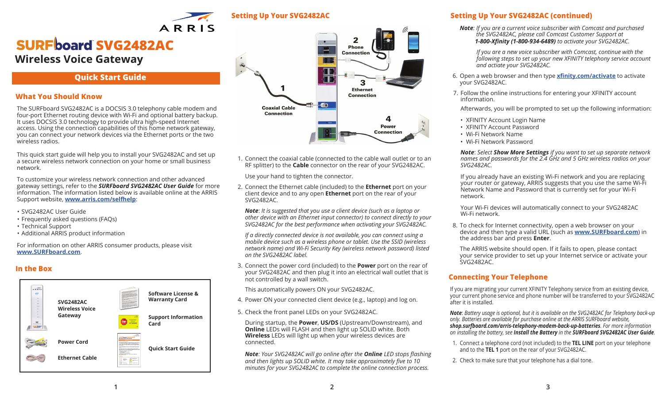

# **SVG2482AC Wireless Voice Gateway**

# **Quick Start Guide**

ARRIS

### **What You Should Know**

The SURFboard SVG2482AC is a DOCSIS 3.0 telephony cable modem and four-port Ethernet routing device with Wi-Fi and optional battery backup. It uses DOCSIS 3.0 technology to provide ultra high-speed Internet access. Using the connection capabilities of this home network gateway, you can connect your network devices via the Ethernet ports or the two wireless radios.

This quick start guide will help you to install your SVG2482AC and set up a secure wireless network connection on your home or small business network.

To customize your wireless network connection and other advanced gateway settings, refer to the *SURFboard SVG2482AC User Guide* for more information. The information listed below is available online at the ARRIS Support website, **www.arris.com/selfhelp**:

- SVG2482AC User Guide
- Frequently asked questions (FAQs)
- Technical Support
- Additional ARRIS product information

For information on other ARRIS consumer products, please visit **www.SURFboard.com**.

### **In the Box**





1. Connect the coaxial cable (connected to the cable wall outlet or to an RF splitter) to the **Cable** connector on the rear of your SVG2482AC.

Use your hand to tighten the connector.

2. Connect the Ethernet cable (included) to the **Ethernet** port on your client device and to any open **Ethernet** port on the rear of your SVG2482AC.

*Note*: *It is suggested that you use a client device (such as a laptop or other device with an Ethernet input connector) to connect directly to your SVG2482AC for the best performance when activating your SVG2482AC.* 

*If a directly connected device is not available, you can connect using a mobile device such as a wireless phone or tablet. Use the SSID (wireless network name) and Wi-Fi Security Key (wireless network password) listed on the SVG2482AC label.*

3. Connect the power cord (included) to the **Power** port on the rear of your SVG2482AC and then plug it into an electrical wall outlet that is not controlled by a wall switch.

This automatically powers ON your SVG2482AC.

- 4. Power ON your connected client device (e.g., laptop) and log on.
- 5. Check the front panel LEDs on your SVG2482AC.

During startup, the **Power**, **US/DS** (Upstream/Downstream), and **Online** LEDs will FLASH and then light up SOLID white. Both **Wireless** LEDs will light up when your wireless devices are connected.

*Note: Your SVG2482AC will go online after the Online LED stops flashing and then lights up SOLID white. It may take approximately five to 10 minutes for your SVG2482AC to complete the online connection process.*

### **Setting Up Your SVG2482AC Setting Up Your SVG2482AC (continued)**

*Note: If you are a current voice subscriber with Comcast and purchased the SVG2482AC, please call Comcast Customer Support at 1-800-Xfinity (1-800-934-6489) to activate your SVG2482AC.*

 *If you are a new voice subscriber with Comcast, continue with the following steps to set up your new XFINITY telephony service account and actiate your SVG2482AC.*

- 6. Open a web browser and then type **xfinity.com/activate** to activate your SVG2482AC.
- 7. Follow the online instructions for entering your XFINITY account information.

Afterwards, you will be prompted to set up the following information:

- XFINITY Account Login Name
- XFINITY Account Password
- Wi-Fi Network Name
- Wi-Fi Network Password

*Note*: *Select Show More Settings if you want to set up separate network names and passwords for the 2.4 GHz and 5 GHz wireless radios on your SVG2482AC.* 

If you already have an existing Wi-Fi network and you are replacing your router or gateway, ARRIS suggests that you use the same Wi-Fi Network Name and Password that is currently set for your Wi-Fi network.

Your Wi-Fi devices will automatically connect to your SVG2482AC Wi-Fi network.

8. To check for Internet connectivity, open a web browser on your device and then type a valid URL (such as **www.SURFboard.com**) in the address bar and press **Enter**.

The ARRIS website should open. If it fails to open, please contact your service provider to set up your Internet service or activate your SVG2482AC.

### **Connecting Your Telephone**

If you are migrating your current XFINITY Telephony service from an existing device, your current phone service and phone number will be transferred to your SVG2482AC after it is installed.

*Note*: *Battery usage is optional, but it is available on the SVG2482AC for Telephony back-up only. Batteries are available for purchase online at the ARRIS SURFboard website, shop.surfboard.com/arris-telephony-modem-back-up-batteries. For more information on installing the battery, see Install the Battery in the SURFboard SVG2482AC User Guide.*

- 1. Connect a telephone cord (not included) to the **TEL LINE** port on your telephone and to the **TEL 1** port on the rear of your SVG2482AC.
- 2. Check to make sure that your telephone has a dial tone.